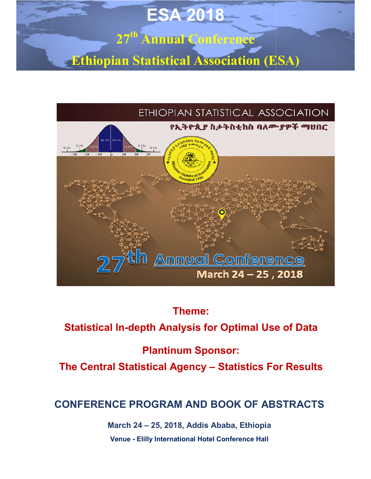# **27th Annual Conference ESA 2018**

**Ethiopian Statistical Association (ESA)**



### **Theme:**

### **Statistical In-depth Analysis for Optimal Use of Data**

### **Plantinum Sponsor:**

**Statistical In-depth Analysis for Optimal Use of Data<br>Plantinum Sponsor:<br>The Central Statistical Agency – Statistics For Results** 

### **CONFERENCE PROGRAM AND BOOK OF ABSTRACTS**

**March 24 – 25, 2018, Addis Ababa, Ethiopia Venue - Elilly International Hotel Conference Hall**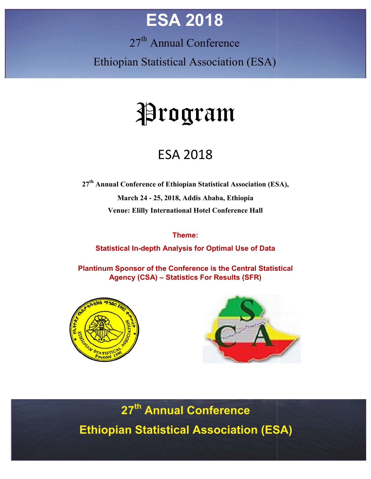## **ESA 2018**

27<sup>th</sup> Annual Conference

Ethiopian Statistical Association (ESA)

# Program

### ESA 2018

**27th Annual Conference of Ethiopian Statistical Association (ESA), March 24 - 25, 2018, Addis Ababa, Ethiopia Venue: Elilly International Hotel Conference Hall**

#### **Theme:**

**Statistical In--depth Analysis for Optimal Use of Data**

**Plantinum Sponsor of the Conference is the Central Statistical Agency (CSA) – Statistics For Results (SFR)**





**27th th Annual Conference Ethiopian Statistical Association (ESA**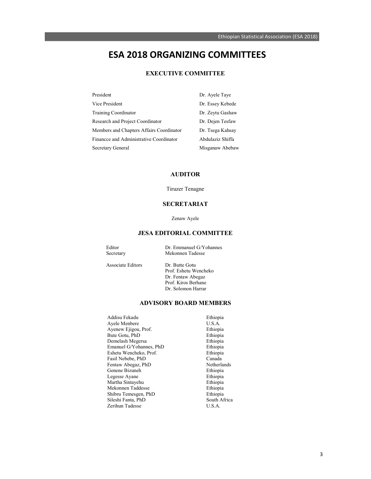### **ESA 2018 ORGANIZING COMMITTEES**

#### **EXECUTIVE COMMITTEE**

| President                                | Dr. Ayele Taye   |
|------------------------------------------|------------------|
| Vice President                           | Dr. Essey Kebede |
| <b>Training Coordinator</b>              | Dr. Zeytu Gashaw |
| Research and Project Coordinator         | Dr. Dejen Tesfaw |
| Members and Chapters Affairs Coordinator | Dr. Tsega Kahsay |
| Financce and Administrative Coordinator  | Abdulaziz Shiffa |
| Secretary General                        | Misganaw Abebaw  |

#### **AUDITOR**

Tiruzer Tenagne

#### **SECRETARIAT**

Zenaw Ayele

#### **JESA EDITORIAL COMMITTEE**

| Editor    | Dr. Emmanuel G/Yohannes |
|-----------|-------------------------|
| Secretary | Mekonnen Tadesse        |
|           |                         |

Associate Editors Dr. Butte Gotu Prof. Eshetu Wencheko Dr. Fentaw Abegaz Prof. Kiros Berhane

#### **ADVISORY BOARD MEMBERS**

Dr. Solomon Harrar

| Addisu Fekadu           | Ethiopia     |
|-------------------------|--------------|
| Ayele Menbere           | U.S.A.       |
| Ayenew Ejigou, Prof.    | Ethiopia     |
| Bute Gotu, PhD          | Ethiopia     |
| Demelash Megersa        | Ethiopia     |
| Emanuel G/Yohannes, PhD | Ethiopia     |
| Eshetu Wencheko, Prof.  | Ethiopia     |
| Fasil Nebebe, PhD       | Canada       |
| Fentaw Abegaz, PhD      | Netherlands  |
| Genene Bizuneh          | Ethiopia     |
| Legesse Ayane           | Ethiopia     |
| Martha Sintayehu        | Ethiopia     |
| Mekonnen Taddesse       | Ethiopia     |
| Shibru Temesgen, PhD    | Ethiopia     |
| Sileshi Fanta, PhD      | South Africa |
| Zerihun Tadesse         | U.S.A.       |
|                         |              |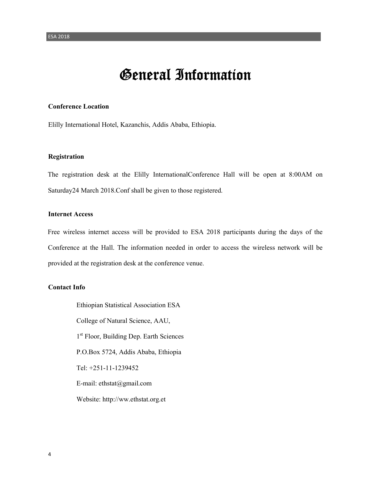### General Information

#### **Conference Location**

Elilly International Hotel, Kazanchis, Addis Ababa, Ethiopia.

#### **Registration**

The registration desk at the Elilly InternationalConference Hall will be open at 8:00AM on Saturday24 March 2018.Conf shall be given to those registered.

#### **Internet Access**

Free wireless internet access will be provided to ESA 2018 participants during the days of the Conference at the Hall. The information needed in order to access the wireless network will be provided at the registration desk at the conference venue.

#### **Contact Info**

Ethiopian Statistical Association ESA College of Natural Science, AAU, 1<sup>st</sup> Floor, Building Dep. Earth Sciences P.O.Box 5724, Addis Ababa, Ethiopia Tel: +251-11-1239452 E-mail: ethstat@gmail.com Website: http://ww.ethstat.org.et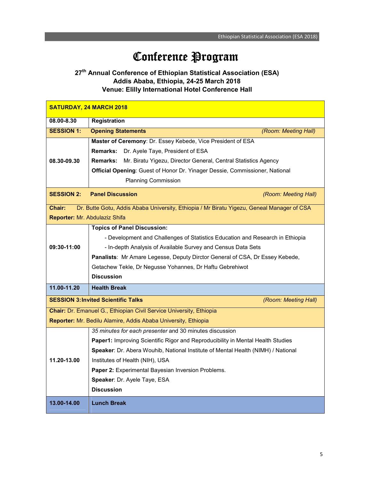### Conference Program

#### **27th Annual Conference of Ethiopian Statistical Association (ESA) Addis Ababa, Ethiopia, 24-25 March 2018 Venue: Elilly International Hotel Conference Hall**

| <b>SATURDAY, 24 MARCH 2018</b>                                 |                                                                                            |  |  |
|----------------------------------------------------------------|--------------------------------------------------------------------------------------------|--|--|
| 08.00-8.30                                                     | <b>Registration</b>                                                                        |  |  |
| <b>SESSION 1:</b>                                              | <b>Opening Statements</b><br>(Room: Meeting Hall)                                          |  |  |
|                                                                | Master of Ceremony: Dr. Essey Kebede, Vice President of ESA                                |  |  |
|                                                                | Remarks: Dr. Ayele Taye, President of ESA                                                  |  |  |
| 08.30-09.30                                                    | <b>Remarks:</b><br>Mr. Biratu Yigezu, Director General, Central Statistics Agency          |  |  |
|                                                                | Official Opening: Guest of Honor Dr. Yinager Dessie, Commissioner, National                |  |  |
|                                                                | <b>Planning Commission</b>                                                                 |  |  |
| <b>SESSION 2:</b>                                              | <b>Panel Discussion</b><br>(Room: Meeting Hall)                                            |  |  |
| Chair:                                                         | Dr. Butte Gotu, Addis Ababa University, Ethiopia / Mr Biratu Yigezu, Geneal Manager of CSA |  |  |
| Reporter: Mr. Abdulaziz Shifa                                  |                                                                                            |  |  |
|                                                                | <b>Topics of Panel Discussion:</b>                                                         |  |  |
|                                                                | - Development and Challenges of Statistics Education and Research in Ethiopia              |  |  |
| 09:30-11:00                                                    | - In-depth Analysis of Available Survey and Census Data Sets                               |  |  |
|                                                                | Panalists: Mr Amare Legesse, Deputy Dirctor General of CSA, Dr Essey Kebede,               |  |  |
|                                                                | Getachew Tekle, Dr Negusse Yohannes, Dr Haftu Gebrehiwot                                   |  |  |
|                                                                | <b>Discussion</b>                                                                          |  |  |
| 11.00-11.20                                                    | <b>Health Break</b>                                                                        |  |  |
|                                                                | <b>SESSION 3: Invited Scientific Talks</b><br>(Room: Meeting Hall)                         |  |  |
|                                                                | Chair: Dr. Emanuel G., Ethiopian Civil Service University, Ethiopia                        |  |  |
| Reporter: Mr. Bedilu Alamire, Addis Ababa University, Ethiopia |                                                                                            |  |  |
|                                                                | 35 minutes for each presenter and 30 minutes discussion                                    |  |  |
|                                                                | Paper1: Improving Scientific Rigor and Reproducibility in Mental Health Studies            |  |  |
|                                                                | Speaker: Dr. Abera Wouhib, National Institute of Mental Health (NIMH) / National           |  |  |
| 11.20-13.00                                                    | Institutes of Health (NIH), USA                                                            |  |  |
|                                                                | Paper 2: Experimental Bayesian Inversion Problems.                                         |  |  |
|                                                                | Speaker: Dr. Ayele Taye, ESA                                                               |  |  |
|                                                                | <b>Discussion</b>                                                                          |  |  |
| 13.00-14.00                                                    | <b>Lunch Break</b>                                                                         |  |  |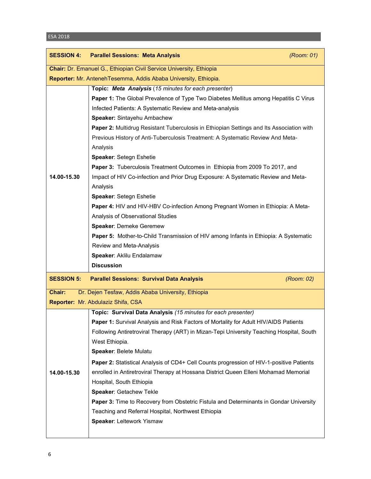| <b>SESSION 4:</b> | <b>Parallel Sessions: Meta Analysis</b>                                                       | (Room: 01) |
|-------------------|-----------------------------------------------------------------------------------------------|------------|
|                   | Chair: Dr. Emanuel G., Ethiopian Civil Service University, Ethiopia                           |            |
|                   | Reporter: Mr. Anteneh Tesemma, Addis Ababa University, Ethiopia.                              |            |
|                   | Topic: Meta Analysis (15 minutes for each presenter)                                          |            |
|                   | Paper 1: The Global Prevalence of Type Two Diabetes Mellitus among Hepatitis C Virus          |            |
|                   | Infected Patients: A Systematic Review and Meta-analysis                                      |            |
|                   | Speaker: Sintayehu Ambachew                                                                   |            |
|                   | Paper 2: Multidrug Resistant Tuberculosis in Ethiopian Settings and Its Association with      |            |
|                   | Previous History of Anti-Tuberculosis Treatment: A Systematic Review And Meta-                |            |
|                   | Analysis                                                                                      |            |
|                   | Speaker: Setegn Eshetie                                                                       |            |
|                   | Paper 3: Tuberculosis Treatment Outcomes in Ethiopia from 2009 To 2017, and                   |            |
| 14.00-15.30       | Impact of HIV Co-infection and Prior Drug Exposure: A Systematic Review and Meta-             |            |
|                   | Analysis                                                                                      |            |
|                   | Speaker: Setegn Eshetie                                                                       |            |
|                   | Paper 4: HIV and HIV-HBV Co-infection Among Pregnant Women in Ethiopia: A Meta-               |            |
|                   | Analysis of Observational Studies                                                             |            |
|                   | Speaker: Demeke Geremew                                                                       |            |
|                   | Paper 5: Mother-to-Child Transmission of HIV among Infants in Ethiopia: A Systematic          |            |
|                   | Review and Meta-Analysis                                                                      |            |
|                   | Speaker: Aklilu Endalamaw<br><b>Discussion</b>                                                |            |
|                   |                                                                                               |            |
| <b>SESSION 5:</b> | <b>Parallel Sessions: Survival Data Analysis</b>                                              | (Room: 02) |
| Chair:            | Dr. Dejen Tesfaw, Addis Ababa University, Ethiopia                                            |            |
|                   | Reporter: Mr. Abdulaziz Shifa, CSA                                                            |            |
|                   | Topic: Survival Data Analysis (15 minutes for each presenter)                                 |            |
|                   | Paper 1: Survival Analysis and Risk Factors of Mortality for Adult HIV/AIDS Patients          |            |
|                   | Following Antiretroviral Therapy (ART) in Mizan-Tepi University Teaching Hospital, South      |            |
|                   | West Ethiopia.                                                                                |            |
|                   | Speaker: Belete Mulatu                                                                        |            |
|                   | Paper 2: Statistical Analysis of CD4+ Cell Counts progression of HIV-1-positive Patients      |            |
| 14.00-15.30       | enrolled in Antiretroviral Therapy at Hossana District Queen Elleni Mohamad Memorial          |            |
|                   | Hospital, South Ethiopia                                                                      |            |
|                   | Speaker: Getachew Tekle                                                                       |            |
|                   | <b>Paper 3:</b> Time to Recovery from Obstetric Fistula and Determinants in Gondar University |            |
|                   | Teaching and Referral Hospital, Northwest Ethiopia<br>Speaker: Leltework Yismaw               |            |
|                   |                                                                                               |            |
|                   |                                                                                               |            |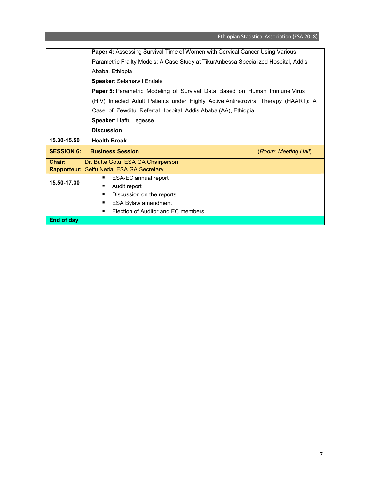Ethiopian Statistical Association (ESA 2018)

|                                                 | Paper 4: Assessing Survival Time of Women with Cervical Cancer Using Various        |                      |  |
|-------------------------------------------------|-------------------------------------------------------------------------------------|----------------------|--|
|                                                 | Parametric Frailty Models: A Case Study at TikurAnbessa Specialized Hospital, Addis |                      |  |
|                                                 | Ababa, Ethiopia                                                                     |                      |  |
|                                                 | Speaker: Selamawit Endale                                                           |                      |  |
|                                                 | <b>Paper 5: Parametric Modeling of Survival Data Based on Human Immune Virus</b>    |                      |  |
|                                                 | (HIV) Infected Adult Patients under Highly Active Antiretroviral Therapy (HAART): A |                      |  |
|                                                 | Case of Zewditu Referral Hospital, Addis Ababa (AA), Ethiopia                       |                      |  |
|                                                 | <b>Speaker: Haftu Legesse</b>                                                       |                      |  |
|                                                 | <b>Discussion</b>                                                                   |                      |  |
| 15.30-15.50                                     | <b>Health Break</b>                                                                 |                      |  |
| <b>SESSION 6:</b>                               | <b>Business Session</b>                                                             | (Room: Meeting Hall) |  |
| Chair:<br>Dr. Butte Gotu, ESA GA Chairperson    |                                                                                     |                      |  |
| <b>Rapporteur:</b> Seifu Neda, ESA GA Secretary |                                                                                     |                      |  |
|                                                 | ESA-EC annual report<br>٠                                                           |                      |  |
| 15.50-17.30                                     |                                                                                     |                      |  |
|                                                 | Audit report                                                                        |                      |  |
|                                                 | Discussion on the reports<br>٠                                                      |                      |  |
|                                                 | ESA Bylaw amendment<br>п                                                            |                      |  |
|                                                 | Election of Auditor and EC members<br>٠                                             |                      |  |

 $\begin{array}{c} \rule{0pt}{2ex} \rule{0pt}{2ex} \rule{0pt}{2ex} \rule{0pt}{2ex} \rule{0pt}{2ex} \rule{0pt}{2ex} \rule{0pt}{2ex} \rule{0pt}{2ex} \rule{0pt}{2ex} \rule{0pt}{2ex} \rule{0pt}{2ex} \rule{0pt}{2ex} \rule{0pt}{2ex} \rule{0pt}{2ex} \rule{0pt}{2ex} \rule{0pt}{2ex} \rule{0pt}{2ex} \rule{0pt}{2ex} \rule{0pt}{2ex} \rule{0pt}{2ex} \rule{0pt}{2ex} \rule{0pt}{2ex} \rule{0pt}{2ex} \rule{0pt}{$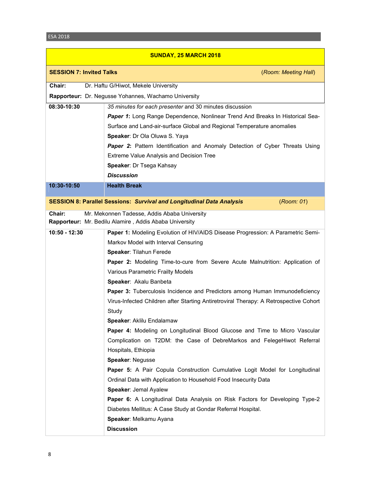| SUNDAY, 25 MARCH 2018           |                                                                                                        |  |
|---------------------------------|--------------------------------------------------------------------------------------------------------|--|
| <b>SESSION 7: Invited Talks</b> | (Room: Meeting Hall)                                                                                   |  |
| Chair:                          | Dr. Haftu G/Hiwot, Mekele University                                                                   |  |
|                                 | Rapporteur: Dr. Negusse Yohannes, Wachamo University                                                   |  |
| 08:30-10:30                     | 35 minutes for each presenter and 30 minutes discussion                                                |  |
|                                 | Paper 1: Long Range Dependence, Nonlinear Trend And Breaks In Historical Sea-                          |  |
|                                 | Surface and Land-air-surface Global and Regional Temperature anomalies                                 |  |
|                                 | Speaker: Dr Ola Oluwa S. Yaya                                                                          |  |
|                                 | <b>Paper 2:</b> Pattern Identification and Anomaly Detection of Cyber Threats Using                    |  |
|                                 | <b>Extreme Value Analysis and Decision Tree</b>                                                        |  |
|                                 | Speaker: Dr Tsega Kahsay                                                                               |  |
|                                 | <b>Discussion</b>                                                                                      |  |
| 10:30-10:50                     | <b>Health Break</b>                                                                                    |  |
|                                 | <b>SESSION 8: Parallel Sessions: Survival and Longitudinal Data Analysis</b><br>(Room: 01)             |  |
|                                 |                                                                                                        |  |
| Chair:                          | Mr. Mekonnen Tadesse, Addis Ababa University<br>Rapporteur: Mr. Bedilu Alamire, Addis Ababa University |  |
| 10:50 - 12:30                   | Paper 1: Modeling Evolution of HIV/AIDS Disease Progression: A Parametric Semi-                        |  |
|                                 | Markov Model with Interval Censuring                                                                   |  |
|                                 | Speaker: Tilahun Ferede                                                                                |  |
|                                 | Paper 2: Modeling Time-to-cure from Severe Acute Malnutrition: Application of                          |  |
|                                 | Various Parametric Frailty Models                                                                      |  |
|                                 | Speaker: Akalu Banbeta                                                                                 |  |
|                                 | Paper 3: Tuberculosis Incidence and Predictors among Human Immunodeficiency                            |  |
|                                 | Virus-Infected Children after Starting Antiretroviral Therapy: A Retrospective Cohort                  |  |
|                                 | Study                                                                                                  |  |
|                                 | Speaker: Aklilu Endalamaw                                                                              |  |
|                                 | Paper 4: Modeling on Longitudinal Blood Glucose and Time to Micro Vascular                             |  |
|                                 | Complication on T2DM: the Case of DebreMarkos and FelegeHiwot Referral                                 |  |
|                                 | Hospitals, Ethiopia                                                                                    |  |
|                                 | Speaker: Negusse                                                                                       |  |
|                                 | <b>Paper 5:</b> A Pair Copula Construction Cumulative Logit Model for Longitudinal                     |  |
|                                 | Ordinal Data with Application to Household Food Insecurity Data<br>Speaker: Jemal Ayalew               |  |
|                                 | <b>Paper 6:</b> A Longitudinal Data Analysis on Risk Factors for Developing Type-2                     |  |
|                                 | Diabetes Mellitus: A Case Study at Gondar Referral Hospital.                                           |  |
|                                 |                                                                                                        |  |
|                                 |                                                                                                        |  |
|                                 | Speaker: Melkamu Ayana<br><b>Discussion</b>                                                            |  |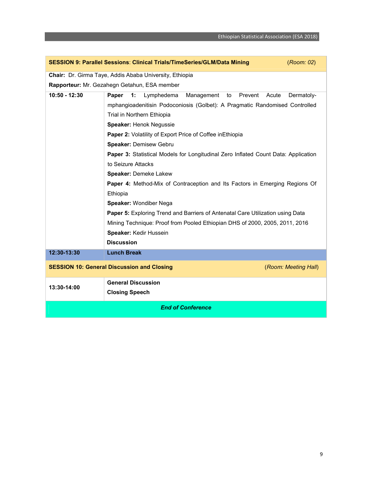|                                                                           | SESSION 9: Parallel Sessions: Clinical Trials/TimeSeries/GLM/Data Mining<br>(Room: 02) |            |  |  |
|---------------------------------------------------------------------------|----------------------------------------------------------------------------------------|------------|--|--|
|                                                                           | Chair: Dr. Girma Taye, Addis Ababa University, Ethiopia                                |            |  |  |
|                                                                           | Rapporteur: Mr. Gezahegn Getahun, ESA member                                           |            |  |  |
| $10:50 - 12:30$                                                           | 1:<br>Paper<br>Lymphedema<br>Management<br>to<br>Prevent<br>Acute                      | Dermatoly- |  |  |
|                                                                           | mphangioadenitisin Podoconiosis (Golbet): A Pragmatic Randomised Controlled            |            |  |  |
|                                                                           | Trial in Northern Ethiopia                                                             |            |  |  |
|                                                                           | Speaker: Henok Negussie                                                                |            |  |  |
|                                                                           | Paper 2: Volatility of Export Price of Coffee in Ethiopia                              |            |  |  |
|                                                                           | Speaker: Demisew Gebru                                                                 |            |  |  |
|                                                                           | Paper 3: Statistical Models for Longitudinal Zero Inflated Count Data: Application     |            |  |  |
|                                                                           | to Seizure Attacks                                                                     |            |  |  |
|                                                                           | Speaker: Demeke Lakew                                                                  |            |  |  |
|                                                                           | <b>Paper 4:</b> Method-Mix of Contraception and Its Factors in Emerging Regions Of     |            |  |  |
|                                                                           | Ethiopia                                                                               |            |  |  |
|                                                                           | Speaker: Wondiber Nega                                                                 |            |  |  |
|                                                                           | <b>Paper 5: Exploring Trend and Barriers of Antenatal Care Utilization using Data</b>  |            |  |  |
|                                                                           | Mining Technique: Proof from Pooled Ethiopian DHS of 2000, 2005, 2011, 2016            |            |  |  |
|                                                                           | Speaker: Kedir Hussein                                                                 |            |  |  |
|                                                                           | <b>Discussion</b>                                                                      |            |  |  |
| 12:30-13:30                                                               | <b>Lunch Break</b>                                                                     |            |  |  |
| <b>SESSION 10: General Discussion and Closing</b><br>(Room: Meeting Hall) |                                                                                        |            |  |  |
| 13:30-14:00                                                               | <b>General Discussion</b>                                                              |            |  |  |
|                                                                           | <b>Closing Speech</b>                                                                  |            |  |  |
| <b>End of Conference</b>                                                  |                                                                                        |            |  |  |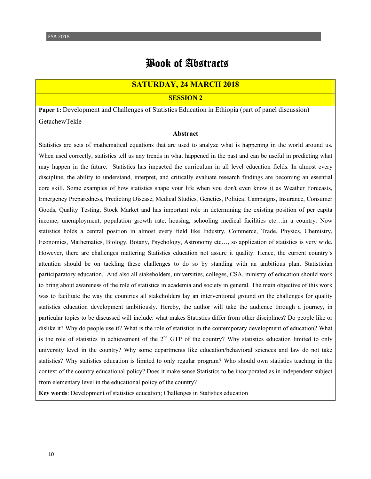### Book of Abstracts

#### **SATURDAY, 24 MARCH 2018**

**SESSION 2**

**Paper 1:** Development and Challenges of Statistics Education in Ethiopia (part of panel discussion) GetachewTekle

#### **Abstract**

Statistics are sets of mathematical equations that are used to analyze what is happening in the world around us. When used correctly, statistics tell us any trends in what happened in the past and can be useful in predicting what may happen in the future. Statistics has impacted the curriculum in all level education fields. In almost every discipline, the ability to understand, interpret, and critically evaluate research findings are becoming an essential core skill. Some examples of how statistics shape your life when you don't even know it as Weather Forecasts, Emergency Preparedness, Predicting Disease, Medical Studies, Genetics, Political Campaigns, Insurance, Consumer Goods, Quality Testing, Stock Market and has important role in determining the existing position of per capita income, unemployment, population growth rate, housing, schooling medical facilities etc…in a country. Now statistics holds a central position in almost every field like Industry, Commerce, Trade, Physics, Chemistry, Economics, Mathematics, Biology, Botany, Psychology, Astronomy etc…, so application of statistics is very wide. However, there are challenges mattering Statistics education not assure it quality. Hence, the current country's attention should be on tackling these challenges to do so by standing with an ambitious plan, Statistician participaratory education. And also all stakeholders, universities, colleges, CSA, ministry of education should work to bring about awareness of the role of statistics in academia and society in general. The main objective of this work was to facilitate the way the countries all stakeholders lay an interventional ground on the challenges for quality statistics education development ambitiously. Hereby, the author will take the audience through a journey, in particular topics to be discussed will include: what makes Statistics differ from other disciplines? Do people like or dislike it? Why do people use it? What is the role of statistics in the contemporary development of education? What is the role of statistics in achievement of the  $2<sup>nd</sup> GTP$  of the country? Why statistics education limited to only university level in the country? Why some departments like education/behavioral sciences and law do not take statistics? Why statistics education is limited to only regular program? Who should own statistics teaching in the context of the country educational policy? Does it make sense Statistics to be incorporated as in independent subject from elementary level in the educational policy of the country?

**Key words**: Development of statistics education; Challenges in Statistics education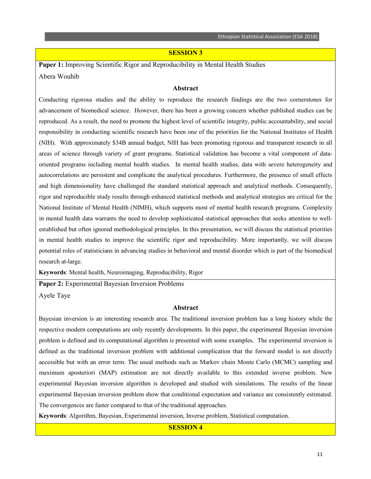#### **SESSION 3**

**Paper 1:** Improving Scientific Rigor and Reproducibility in Mental Health Studies Abera Wouhib

#### **Abstract**

Conducting rigorous studies and the ability to reproduce the research findings are the two cornerstones for advancement of biomedical science. However, there has been a growing concern whether published studies can be reproduced. As a result, the need to promote the highest level of scientific integrity, public accountability, and social responsibility in conducting scientific research have been one of the priorities for the National Institutes of Health (NIH). With approximately \$34B annual budget, NIH has been promoting rigorous and transparent research in all areas of science through variety of grant programs. Statistical validation has become a vital component of dataoriented programs including mental health studies. In mental health studies, data with severe heterogeneity and autocorrelations are persistent and complicate the analytical procedures. Furthermore, the presence of small effects and high dimensionality have challenged the standard statistical approach and analytical methods. Consequently, rigor and reproducible study results through enhanced statistical methods and analytical strategies are critical for the National Institute of Mental Health (NIMH), which supports most of mental health research programs. Complexity in mental health data warrants the need to develop sophisticated statistical approaches that seeks attention to wellestablished but often ignored methodological principles. In this presentation, we will discuss the statistical priorities in mental health studies to improve the scientific rigor and reproducibility. More importantly, we will discuss potential roles of statisticians in advancing studies in behavioral and mental disorder which is part of the biomedical research at-large.

**Keywords**: Mental health, Neuroimaging, Reproducibility, Rigor

**Paper 2:** Experimental Bayesian Inversion Problems

Ayele Taye

#### **Abstract**

Bayesian inversion is an interesting research area. The traditional inversion problem has a long history while the respective modern computations are only recently developments. In this paper, the experimental Bayesian inversion problem is defined and its computational algorithm is presented with some examples. The experimental inversion is defined as the traditional inversion problem with additional complication that the forward model is not directly accessible but with an error term. The usual methods such as Markov chain Monte Carlo (MCMC) sampling and maximum aposteriori (MAP) estimation are not directly available to this extended inverse problem. New experimental Bayesian inversion algorithm is developed and studied with simulations. The results of the linear experimental Bayesian inversion problem show that conditional expectation and variance are consistently estimated. The convergences are faster compared to that of the traditional approaches.

**Keywords**: Algorithm, Bayesian, Experimental inversion, Inverse problem, Statistical computation.

#### **SESSION 4**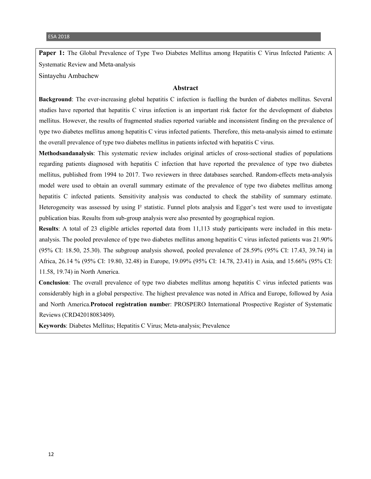Paper 1: The Global Prevalence of Type Two Diabetes Mellitus among Hepatitis C Virus Infected Patients: A Systematic Review and Meta-analysis

Sintayehu Ambachew

#### **Abstract**

**Background**: The ever-increasing global hepatitis C infection is fuelling the burden of diabetes mellitus. Several studies have reported that hepatitis C virus infection is an important risk factor for the development of diabetes mellitus. However, the results of fragmented studies reported variable and inconsistent finding on the prevalence of type two diabetes mellitus among hepatitis C virus infected patients. Therefore, this meta-analysis aimed to estimate the overall prevalence of type two diabetes mellitus in patients infected with hepatitis C virus.

**Methodsandanalysis**: This systematic review includes original articles of cross-sectional studies of populations regarding patients diagnosed with hepatitis C infection that have reported the prevalence of type two diabetes mellitus, published from 1994 to 2017. Two reviewers in three databases searched. Random-effects meta-analysis model were used to obtain an overall summary estimate of the prevalence of type two diabetes mellitus among hepatitis C infected patients. Sensitivity analysis was conducted to check the stability of summary estimate. Heterogeneity was assessed by using  $I^2$  statistic. Funnel plots analysis and Egger's test were used to investigate publication bias. Results from sub-group analysis were also presented by geographical region.

**Results**: A total of 23 eligible articles reported data from 11,113 study participants were included in this metaanalysis. The pooled prevalence of type two diabetes mellitus among hepatitis C virus infected patients was 21.90% (95% CI: 18.50, 25.30). The subgroup analysis showed, pooled prevalence of 28.59% (95% CI: 17.43, 39.74) in Africa, 26.14 % (95% CI: 19.80, 32.48) in Europe, 19.09% (95% CI: 14.78, 23.41) in Asia, and 15.66% (95% CI: 11.58, 19.74) in North America.

**Conclusion**: The overall prevalence of type two diabetes mellitus among hepatitis C virus infected patients was considerably high in a global perspective. The highest prevalence was noted in Africa and Europe, followed by Asia and North America.**Protocol registration numbe**r: PROSPERO International Prospective Register of Systematic Reviews (CRD42018083409).

**Keywords**: Diabetes Mellitus; Hepatitis C Virus; Meta-analysis; Prevalence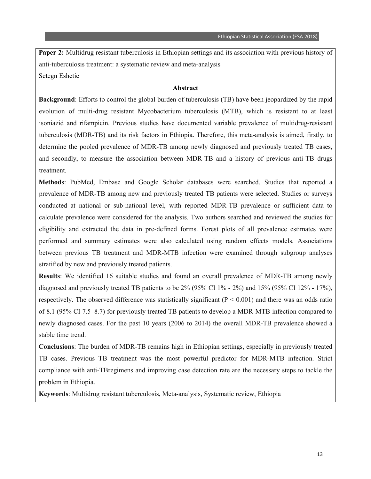**Paper 2:** Multidrug resistant tuberculosis in Ethiopian settings and its association with previous history of anti-tuberculosis treatment: a systematic review and meta-analysis Setegn Eshetie

#### **Abstract**

**Background**: Efforts to control the global burden of tuberculosis (TB) have been jeopardized by the rapid evolution of multi-drug resistant Mycobacterium tuberculosis (MTB), which is resistant to at least isoniazid and rifampicin. Previous studies have documented variable prevalence of multidrug-resistant tuberculosis (MDR-TB) and its risk factors in Ethiopia. Therefore, this meta-analysis is aimed, firstly, to determine the pooled prevalence of MDR-TB among newly diagnosed and previously treated TB cases, and secondly, to measure the association between MDR-TB and a history of previous anti-TB drugs treatment.

**Methods**: PubMed, Embase and Google Scholar databases were searched. Studies that reported a prevalence of MDR-TB among new and previously treated TB patients were selected. Studies or surveys conducted at national or sub-national level, with reported MDR-TB prevalence or sufficient data to calculate prevalence were considered for the analysis. Two authors searched and reviewed the studies for eligibility and extracted the data in pre-defined forms. Forest plots of all prevalence estimates were performed and summary estimates were also calculated using random effects models. Associations between previous TB treatment and MDR-MTB infection were examined through subgroup analyses stratified by new and previously treated patients.

**Results**: We identified 16 suitable studies and found an overall prevalence of MDR-TB among newly diagnosed and previously treated TB patients to be 2% (95% CI 1% - 2%) and 15% (95% CI 12% - 17%), respectively. The observed difference was statistically significant  $(P < 0.001)$  and there was an odds ratio of 8.1 (95% CI 7.5–8.7) for previously treated TB patients to develop a MDR-MTB infection compared to newly diagnosed cases. For the past 10 years (2006 to 2014) the overall MDR-TB prevalence showed a stable time trend.

**Conclusions**: The burden of MDR-TB remains high in Ethiopian settings, especially in previously treated TB cases. Previous TB treatment was the most powerful predictor for MDR-MTB infection. Strict compliance with anti-TBregimens and improving case detection rate are the necessary steps to tackle the problem in Ethiopia.

**Keywords**: Multidrug resistant tuberculosis, Meta-analysis, Systematic review, Ethiopia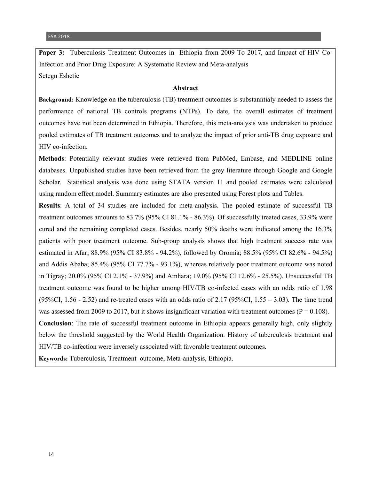**Paper 3:** Tuberculosis Treatment Outcomes in Ethiopia from 2009 To 2017, and Impact of HIV Co-Infection and Prior Drug Exposure: A Systematic Review and Meta-analysis Setegn Eshetie

#### **Abstract**

**Background:** Knowledge on the tuberculosis (TB) treatment outcomes is substanntialy needed to assess the performance of national TB controls programs (NTPs). To date, the overall estimates of treatment outcomes have not been determined in Ethiopia. Therefore, this meta-analysis was undertaken to produce pooled estimates of TB treatment outcomes and to analyze the impact of prior anti-TB drug exposure and HIV co-infection.

**Methods**: Potentially relevant studies were retrieved from PubMed, Embase, and MEDLINE online databases. Unpublished studies have been retrieved from the grey literature through Google and Google Scholar. Statistical analysis was done using STATA version 11 and pooled estimates were calculated using random effect model. Summary estimates are also presented using Forest plots and Tables.

**Results**: A total of 34 studies are included for meta-analysis. The pooled estimate of successful TB treatment outcomes amounts to 83.7% (95% CI 81.1% - 86.3%). Of successfully treated cases, 33.9% were cured and the remaining completed cases. Besides, nearly 50% deaths were indicated among the 16.3% patients with poor treatment outcome. Sub-group analysis shows that high treatment success rate was estimated in Afar; 88.9% (95% CI 83.8% - 94.2%), followed by Oromia; 88.5% (95% CI 82.6% - 94.5%) and Addis Ababa; 85.4% (95% CI 77.7% - 93.1%), whereas relatively poor treatment outcome was noted in Tigray; 20.0% (95% CI 2.1% - 37.9%) and Amhara; 19.0% (95% CI 12.6% - 25.5%). Unsuccessful TB treatment outcome was found to be higher among HIV/TB co-infected cases with an odds ratio of 1.98  $(95\%CI, 1.56 - 2.52)$  and re-treated cases with an odds ratio of 2.17 (95%CI, 1.55 – 3.03). The time trend was assessed from 2009 to 2017, but it shows insignificant variation with treatment outcomes ( $P = 0.108$ ). **Conclusion**: The rate of successful treatment outcome in Ethiopia appears generally high, only slightly below the threshold suggested by the World Health Organization. History of tuberculosis treatment and

**Keywords:** Tuberculosis, Treatment outcome, Meta-analysis, Ethiopia.

HIV/TB co-infection were inversely associated with favorable treatment outcomes.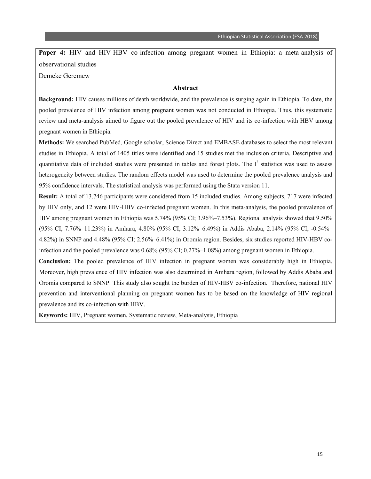**Paper 4:** HIV and HIV-HBV co-infection among pregnant women in Ethiopia: a meta-analysis of observational studies

Demeke Geremew

#### **Abstract**

**Background:** HIV causes millions of death worldwide, and the prevalence is surging again in Ethiopia. To date, the pooled prevalence of HIV infection among pregnant women was not conducted in Ethiopia. Thus, this systematic review and meta-analysis aimed to figure out the pooled prevalence of HIV and its co-infection with HBV among pregnant women in Ethiopia.

**Methods:** We searched PubMed, Google scholar, Science Direct and EMBASE databases to select the most relevant studies in Ethiopia. A total of 1405 titles were identified and 15 studies met the inclusion criteria. Descriptive and quantitative data of included studies were presented in tables and forest plots. The  $I<sup>2</sup>$  statistics was used to assess heterogeneity between studies. The random effects model was used to determine the pooled prevalence analysis and 95% confidence intervals. The statistical analysis was performed using the Stata version 11.

**Result:** A total of 13,746 participants were considered from 15 included studies. Among subjects, 717 were infected by HIV only, and 12 were HIV-HBV co-infected pregnant women. In this meta-analysis, the pooled prevalence of HIV among pregnant women in Ethiopia was 5.74% (95% CI; 3.96%–7.53%). Regional analysis showed that 9.50% (95% CI; 7.76%–11.23%) in Amhara, 4.80% (95% CI; 3.12%–6.49%) in Addis Ababa, 2.14% (95% CI; -0.54%– 4.82%) in SNNP and 4.48% (95% CI; 2.56%–6.41%) in Oromia region. Besides, six studies reported HIV-HBV coinfection and the pooled prevalence was 0.68% (95% CI; 0.27%–1.08%) among pregnant women in Ethiopia.

**Conclusion:** The pooled prevalence of HIV infection in pregnant women was considerably high in Ethiopia. Moreover, high prevalence of HIV infection was also determined in Amhara region, followed by Addis Ababa and Oromia compared to SNNP. This study also sought the burden of HIV-HBV co-infection. Therefore, national HIV prevention and interventional planning on pregnant women has to be based on the knowledge of HIV regional prevalence and its co-infection with HBV.

**Keywords:** HIV, Pregnant women, Systematic review, Meta-analysis, Ethiopia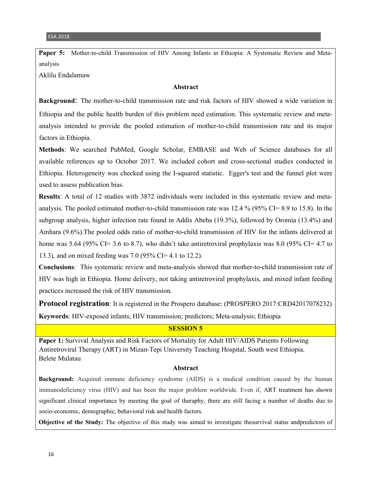Paper 5: Mother-to-child Transmission of HIV Among Infants in Ethiopia: A Systematic Review and Metaanalysis

Aklilu Endalamaw

#### **Abstract**

**Background**: The mother-to-child transmission rate and risk factors of HIV showed a wide variation in Ethiopia and the public health burden of this problem need estimation. This systematic review and metaanalysis intended to provide the pooled estimation of mother-to-child transmission rate and its major factors in Ethiopia.

**Methods**: We searched PubMed, Google Scholar, EMBASE and Web of Science databases for all available references up to October 2017. We included cohort and cross-sectional studies conducted in Ethiopia. Heterogeneity was checked using the I-squared statistic. Egger's test and the funnel plot were used to assess publication bias.

**Results**: A total of 12 studies with 3872 individuals were included in this systematic review and metaanalysis. The pooled estimated mother-to-child transmission rate was 12.4 % (95% CI= 8.9 to 15.8). In the subgroup analysis, higher infection rate found in Addis Abeba (19.3%), followed by Oromia (13.4%) and Amhara (9.6%).The pooled odds ratio of mother-to-child transmission of HIV for the infants delivered at home was 5.64 (95% CI= 3.6 to 8.7), who didn't take antiretroviral prophylaxis was 8.0 (95% CI= 4.7 to 13.3), and on mixed feeding was 7.0 (95% CI= 4.1 to 12.2).

**Conclusions**: This systematic review and meta-analysis showed that mother-to-child transmission rate of HIV was high in Ethiopia. Home delivery, not taking antiretroviral prophylaxis, and mixed infant feeding practices increased the risk of HIV transmission.

**Protocol registration**: It is registered in the Prospero database: (PROSPERO 2017:CRD42017078232) **Keywords**: HIV-exposed infants; HIV transmission; predictors; Meta-analysis; Ethiopia

#### **SESSION 5**

**Paper 1:** Survival Analysis and Risk Factors of Mortality for Adult HIV/AIDS Patients Following Antiretroviral Therapy (ART) in Mizan-Tepi University Teaching Hospital, South west Ethiopia. Belete Mulatau

#### **Abstract**

**Background:** Acquired immune deficiency syndrome (AIDS) is a medical condition caused by the human immunodeficiency virus (HIV) and has been the major problem worldwide. Even if, ART treatment has shown significant clinical importance by meeting the goal of theraphy, there are still facing a number of deaths due to socio-economic, demographic, behavioral risk and health factors.

**Objective of the Study:** The objective of this study was aimed to investigate thesurvival status andpredictors of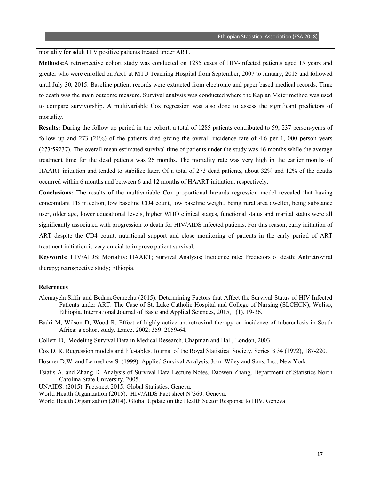mortality for adult HIV positive patients treated under ART.

**Methods:**A retrospective cohort study was conducted on 1285 cases of HIV-infected patients aged 15 years and greater who were enrolled on ART at MTU Teaching Hospital from September, 2007 to January, 2015 and followed until July 30, 2015. Baseline patient records were extracted from electronic and paper based medical records. Time to death was the main outcome measure. Survival analysis was conducted where the Kaplan Meier method was used to compare survivorship. A multivariable Cox regression was also done to assess the significant predictors of mortality.

**Results:** During the follow up period in the cohort, a total of 1285 patients contributed to 59, 237 person-years of follow up and 273 (21%) of the patients died giving the overall incidence rate of 4.6 per 1, 000 person years (273/59237). The overall mean estimated survival time of patients under the study was 46 months while the average treatment time for the dead patients was 26 months. The mortality rate was very high in the earlier months of HAART initiation and tended to stabilize later. Of a total of 273 dead patients, about 32% and 12% of the deaths occurred within 6 months and between 6 and 12 months of HAART initiation, respectively.

**Conclusions:** The results of the multivariable Cox proportional hazards regression model revealed that having concomitant TB infection, low baseline CD4 count, low baseline weight, being rural area dweller, being substance user, older age, lower educational levels, higher WHO clinical stages, functional status and marital status were all significantly associated with progression to death for HIV/AIDS infected patients. For this reason, early initiation of ART despite the CD4 count, nutritional support and close monitoring of patients in the early period of ART treatment initiation is very crucial to improve patient survival.

**Keywords:** HIV/AIDS; Mortality; HAART; Survival Analysis; Incidence rate; Predictors of death; Antiretroviral therapy; retrospective study; Ethiopia.

#### **References**

- AlemayehuSiffir and BedaneGemechu (2015). Determining Factors that Affect the Survival Status of HIV Infected Patients under ART: The Case of St. Luke Catholic Hospital and College of Nursing (SLCHCN), Woliso, Ethiopia. International Journal of Basic and Applied Sciences, 2015, 1(1), 19-36.
- Badri M, Wilson D, Wood R. Effect of highly active antiretroviral therapy on incidence of tuberculosis in South Africa: a cohort study. Lancet 2002; 359: 2059-64.
- Collett D,. Modeling Survival Data in Medical Research. Chapman and Hall, London, 2003.

Cox D. R. Regression models and life-tables. Journal of the Royal Statistical Society. Series B 34 (1972), 187-220.

Hosmer D.W. and Lemeshow S. (1999). Applied Survival Analysis. John Wiley and Sons, Inc., New York.

Tsiatis A. and Zhang D. Analysis of Survival Data Lecture Notes. Daowen Zhang, Department of Statistics North Carolina State University, 2005.

UNAIDS. (2015). Factsheet 2015: Global Statistics. Geneva.

World Health Organization (2015). HIV/AIDS Fact sheet N°360. Geneva.

World Health Organization (2014). Global Update on the Health Sector Response to HIV, Geneva.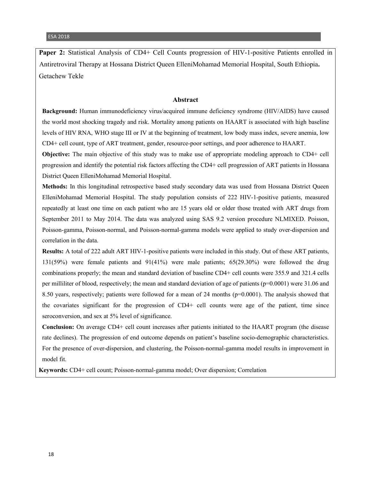**Paper 2:** Statistical Analysis of CD4+ Cell Counts progression of HIV-1-positive Patients enrolled in Antiretroviral Therapy at Hossana District Queen ElleniMohamad Memorial Hospital, South Ethiopia**.** Getachew Tekle

#### **Abstract**

**Background:** Human immunodeficiency virus/acquired immune deficiency syndrome (HIV/AIDS) have caused the world most shocking tragedy and risk. Mortality among patients on HAART is associated with high baseline levels of HIV RNA, WHO stage III or IV at the beginning of treatment, low body mass index, severe anemia, low CD4+ cell count, type of ART treatment, gender, resource-poor settings, and poor adherence to HAART.

**Objective:** The main objective of this study was to make use of appropriate modeling approach to CD4+ cell progression and identify the potential risk factors affecting the CD4+ cell progression of ART patients in Hossana District Queen ElleniMohamad Memorial Hospital.

**Methods:** In this longitudinal retrospective based study secondary data was used from Hossana District Queen ElleniMohamad Memorial Hospital. The study population consists of 222 HIV-1-positive patients, measured repeatedly at least one time on each patient who are 15 years old or older those treated with ART drugs from September 2011 to May 2014. The data was analyzed using SAS 9.2 version procedure NLMIXED. Poisson, Poisson-gamma, Poisson-normal, and Poisson-normal-gamma models were applied to study over-dispersion and correlation in the data.

**Results:** A total of 222 adult ART HIV-1-positive patients were included in this study. Out of these ART patients, 131(59%) were female patients and 91(41%) were male patients; 65(29.30%) were followed the drug combinations properly; the mean and standard deviation of baseline CD4+ cell counts were 355.9 and 321.4 cells per milliliter of blood, respectively; the mean and standard deviation of age of patients  $(p=0.0001)$  were 31.06 and 8.50 years, respectively; patients were followed for a mean of 24 months (p=0.0001). The analysis showed that the covariates significant for the progression of CD4+ cell counts were age of the patient, time since seroconversion, and sex at 5% level of significance.

**Conclusion:** On average CD4+ cell count increases after patients initiated to the HAART program (the disease rate declines). The progression of end outcome depends on patient's baseline socio-demographic characteristics. For the presence of over-dispersion, and clustering, the Poisson-normal-gamma model results in improvement in model fit.

**Keywords:** CD4+ cell count; Poisson-normal-gamma model; Over dispersion; Correlation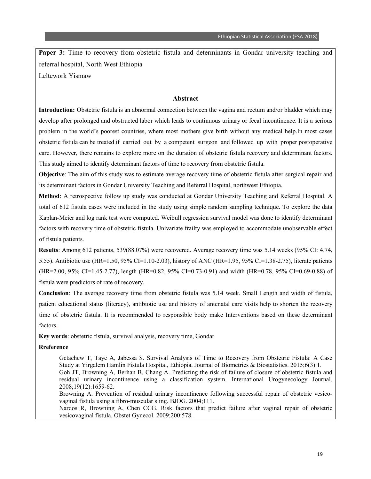**Paper 3:** Time to recovery from obstetric fistula and determinants in Gondar university teaching and referral hospital, North West Ethiopia Leltework Yismaw

#### **Abstract**

**Introduction:** Obstetric fistula is an abnormal connection between the vagina and rectum and/or bladder which may develop after prolonged and obstructed labor which leads to continuous urinary or fecal incontinence. It is a serious problem in the world's poorest countries, where most mothers give birth without any medical help.In most cases obstetric fistula can be treated if carried out by a competent surgeon and followed up with proper postoperative care. However, there remains to explore more on the duration of obstetric fistula recovery and determinant factors. This study aimed to identify determinant factors of time to recovery from obstetric fistula.

**Objective**: The aim of this study was to estimate average recovery time of obstetric fistula after surgical repair and its determinant factors in Gondar University Teaching and Referral Hospital, northwest Ethiopia.

**Method**: A retrospective follow up study was conducted at Gondar University Teaching and Referral Hospital. A total of 612 fistula cases were included in the study using simple random sampling technique. To explore the data Kaplan-Meier and log rank test were computed. Weibull regression survival model was done to identify determinant factors with recovery time of obstetric fistula. Univariate frailty was employed to accommodate unobservable effect of fistula patients.

**Results**: Among 612 patients, 539(88.07%) were recovered. Average recovery time was 5.14 weeks (95% CI: 4.74, 5.55). Antibiotic use (HR=1.50, 95% CI=1.10-2.03), history of ANC (HR=1.95, 95% CI=1.38-2.75), literate patients (HR=2.00, 95% CI=1.45-2.77), length (HR=0.82, 95% CI=0.73-0.91) and width (HR=0.78, 95% CI=0.69-0.88) of fistula were predictors of rate of recovery.

**Conclusion**: The average recovery time from obstetric fistula was 5.14 week. Small Length and width of fistula, patient educational status (literacy), antibiotic use and history of antenatal care visits help to shorten the recovery time of obstetric fistula. It is recommended to responsible body make Interventions based on these determinant factors.

**Key words**: obstetric fistula, survival analysis, recovery time, Gondar

#### **Rreference**

Getachew T, Taye A, Jabessa S. Survival Analysis of Time to Recovery from Obstetric Fistula: A Case Study at Yirgalem Hamlin Fistula Hospital, Ethiopia. Journal of Biometrics & Biostatistics. 2015;6(3):1. Goh JT, Browning A, Berhan B, Chang A. Predicting the risk of failure of closure of obstetric fistula and residual urinary incontinence using a classification system. International Urogynecology Journal. 2008;19(12):1659-62.

Browning A. Prevention of residual urinary incontinence following successful repair of obstetric vesicovaginal fistula using a fibro-muscular sling. BJOG. 2004;111.

Nardos R, Browning A, Chen CCG. Risk factors that predict failure after vaginal repair of obstetric vesicovaginal fistula. Obstet Gynecol. 2009;200:578.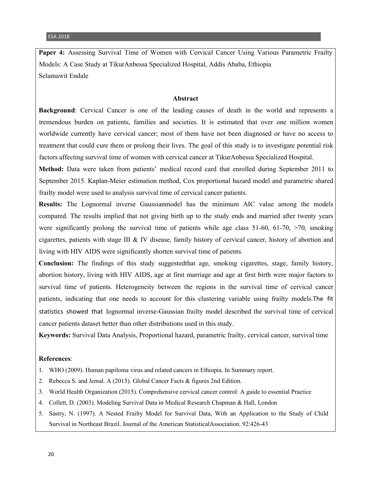Paper 4: Assessing Survival Time of Women with Cervical Cancer Using Various Parametric Frailty Models: A Case Study at TikurAnbessa Specialized Hospital, Addis Ababa, Ethiopia Selamawit Endale

#### **Abstract**

**Background**: Cervical Cancer is one of the leading causes of death in the world and represents a tremendous burden on patients, families and societies. It is estimated that over one million women worldwide currently have cervical cancer; most of them have not been diagnosed or have no access to treatment that could cure them or prolong their lives. The goal of this study is to investigate potential risk factors affecting survival time of women with cervical cancer at TikurAnbessa Specialized Hospital.

**Method:** Data were taken from patients' medical record card that enrolled during September 2011 to September 2015. Kaplan-Meier estimation method, Cox proportional hazard model and parametric shared frailty model were used to analysis survival time of cervical cancer patients.

**Results:** The Lognormal inverse Gaussianmodel has the minimum AIC value among the models compared. The results implied that not giving birth up to the study ends and married after twenty years were significantly prolong the survival time of patients while age class  $51-60$ ,  $61-70$ ,  $>70$ , smoking cigarettes, patients with stage III & IV disease, family history of cervical cancer, history of abortion and living with HIV AIDS were significantly shorten survival time of patients.

**Conclusion:** The findings of this study suggestedthat age, smoking cigarettes, stage, family history, abortion history, living with HIV AIDS, age at first marriage and age at first birth were major factors to survival time of patients. Heterogeneity between the regions in the survival time of cervical cancer patients, indicating that one needs to account for this clustering variable using frailty models.The fit statistics showed that lognormal inverse-Gaussian frailty model described the survival time of cervical cancer patients dataset better than other distributions used in this study.

**Keywords:** Survival Data Analysis, Proportional hazard, parametric frailty, cervical cancer, survival time

#### **References**:

- 1. WHO (2009). Human papiloma virus and related cancers in Ethiopia. In Summary report.
- 2. Rebecca S. and Jemal. A (2015). Global Cancer Facts & figures 2nd Edition.
- 3. World Health Organization (2015). Comprehensive cervical cancer control: A guide to essential Practice
- 4. Collett, D. (2003). Modeling Survival Data in Medical Research Chapman & Hall, London
- 5. Sastry, N. (1997). A Nested Frailty Model for Survival Data, With an Application to the Study of Child Survival in Northeast Brazil. Journal of the American StatisticalAssociation. 92:426-43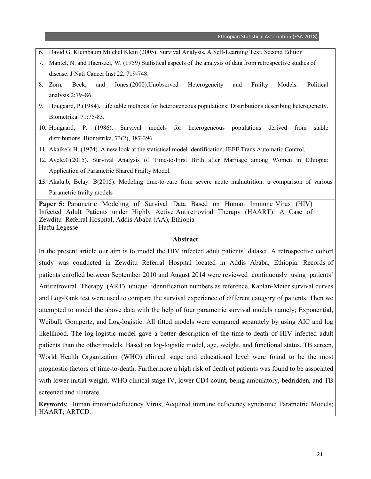- 6. David G. Kleinbaum Mitchel Klein (2005). Survival Analysis, A Self-Learning Text, Second Edition
- 7. Mantel, N. and Haenszel, W. (1959) Statistical aspects of the analysis of data from retrospective studies of disease. J Natl Cancer Inst 22, 719-748.
- 8. Zorn, Beck, and Jones.(2000).Unobserved Heterogeneity and Frailty Models. Political analysis.2:79–86.
- 9. Hougaard, P.(1984). Life table methods for heterogeneous populations: Distributions describing heterogeneity. Biometrika. 71:75-83.
- 10. Hougaard, P. (1986). Survival models for heterogeneous populations derived from stable distributions. Biometrika, 73(2), 387-396.
- 11. Akaike's H. (1974). A new look at the statistical model identification. IEEE Trans Automatic Control.
- 12. Ayele.G(2015). Survival Analysis of Time-to-First Birth after Marriage among Women in Ethiopia: Application of Parametric Shared Frailty Model.
- 13. Akalu.b, Belay. B(2015). Modeling time-to-cure from severe acute malnutrition: a comparison of various Parametric frailty models

**Paper 5:** Parametric Modeling of Survival Data Based on Human Immune Virus (HIV) Infected Adult Patients under Highly Active Antiretroviral Therapy (HAART): A Case of Zewditu Referral Hospital, Addis Ababa (AA), Ethiopia Haftu Legesse

#### **Abstract**

In the present article our aim is to model the HIV infected adult patients' dataset. A retrospective cohort study was conducted in Zewditu Referral Hospital located in Addis Ababa, Ethiopia. Records of patients enrolled between September 2010 and August 2014 were reviewed continuously using patients' Antiretroviral Therapy (ART) unique identification numbers as reference. Kaplan-Meier survival curves and Log-Rank test were used to compare the survival experience of different category of patients. Then we attempted to model the above data with the help of four parametric survival models namely; Exponential, Weibull, Gompertz, and Log-logistic. All fitted models were compared separately by using AIC and log likelihood. The log-logistic model gave a better description of the time-to-death of HIV infected adult patients than the other models. Based on log-logistic model, age, weight, and functional status, TB screen, World Health Organization (WHO) clinical stage and educational level were found to be the most prognostic factors of time-to-death. Furthermore a high risk of death of patients was found to be associated with lower initial weight, WHO clinical stage IV, lower CD4 count, being ambulatory, bedridden, and TB screened and illiterate.

**Keywords**: Human immunodeficiency Virus; Acquired immune deficiency syndrome; Parametric Models; HAART; ARTCD.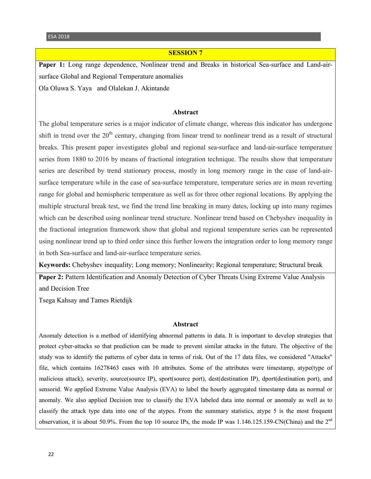#### **SESSION 7**

**Paper 1:** Long range dependence, Nonlinear trend and Breaks in historical Sea-surface and Land-airsurface Global and Regional Temperature anomalies

Ola Oluwa S. Yaya and Olalekan J. Akintande

#### **Abstract**

The global temperature series is a major indicator of climate change, whereas this indicator has undergone shift in trend over the  $20<sup>th</sup>$  century, changing from linear trend to nonlinear trend as a result of structural breaks. This present paper investigates global and regional sea-surface and land-air-surface temperature series from 1880 to 2016 by means of fractional integration technique. The results show that temperature series are described by trend stationary process, mostly in long memory range in the case of land-airsurface temperature while in the case of sea-surface temperature, temperature series are in mean reverting range for global and hemispheric temperature as well as for three other regional locations. By applying the multiple structural break test, we find the trend line breaking in many dates, locking up into many regimes which can be described using nonlinear trend structure. Nonlinear trend based on Chebyshev inequality in the fractional integration framework show that global and regional temperature series can be represented using nonlinear trend up to third order since this further lowers the integration order to long memory range in both Sea-surface and land-air-surface temperature series.

**Keywords:** Chebyshev inequality; Long memory; Nonlinearity; Regional temperature; Structural break

**Paper 2: Pattern Identification and Anomaly Detection of Cyber Threats Using Extreme Value Analysis** and Decision Tree

Tsega Kahsay and Tames Rietdijk

#### **Abstract**

Anomaly detection is a method of identifying abnormal patterns in data. It is important to develop strategies that protect cyber-attacks so that prediction can be made to prevent similar attacks in the future. The objective of the study was to identify the patterns of cyber data in terms of risk. Out of the 17 data files, we considered "Attacks" file, which contains 16278463 cases with 10 attributes. Some of the attributes were timestamp, atype(type of malicious attack), severity, source(source IP), sport(source port), dest(destination IP), dport(destination port), and sensorid. We applied Extreme Value Analysis (EVA) to label the hourly aggregated timestamp data as normal or anomaly. We also applied Decision tree to classify the EVA labeled data into normal or anomaly as well as to classify the attack type data into one of the atypes. From the summary statistics, atype 5 is the most frequent observation, it is about 50.9%. From the top 10 source IPs, the mode IP was 1.146.125.159-CN(China) and the 2<sup>nd</sup>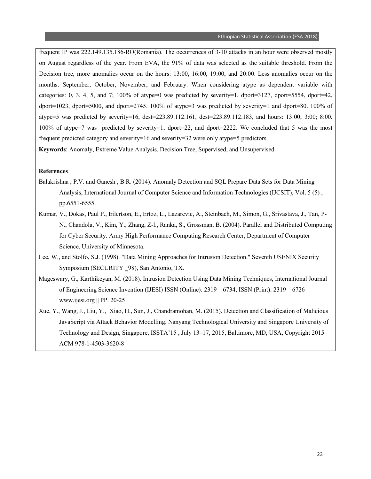frequent IP was 222.149.135.186-RO(Romania). The occurrences of 3-10 attacks in an hour were observed mostly on August regardless of the year. From EVA, the 91% of data was selected as the suitable threshold. From the Decision tree, more anomalies occur on the hours: 13:00, 16:00, 19:00, and 20:00. Less anomalies occur on the months: September, October, November, and February. When considering atype as dependent variable with categories: 0, 3, 4, 5, and 7; 100% of atype=0 was predicted by severity=1, dport=3127, dport=5554, dport=42, dport=1023, dport=5000, and dport=2745. 100% of atype=3 was predicted by severity=1 and dport=80. 100% of atype=5 was predicted by severity=16, dest=223.89.112.161, dest=223.89.112.183, and hours: 13:00; 3:00; 8:00. 100% of atype=7 was predicted by severity=1, dport=22, and dport=2222. We concluded that 5 was the most frequent predicted category and severity=16 and severity=32 were only atype=5 predictors. **Keywords**: Anomaly, Extreme Value Analysis, Decision Tree, Supervised, and Unsupervised.

#### **References**

- Balakrishna , P.V. and Ganesh , B.R. (2014). Anomaly Detection and SQL Prepare Data Sets for Data Mining Analysis, International Journal of Computer Science and Information Technologies (IJCSIT), Vol. 5 (5) , pp.6551-6555.
- Kumar, V., Dokas, Paul P., Eilertson, E., Ertoz, L., Lazarevic, A., Steinbach, M., Simon, G., Srivastava, J., Tan, P-N., Chandola, V., Kim, Y., Zhang, Z-l., Ranka, S., Grossman, B. (2004). Parallel and Distributed Computing for Cyber Security. Army High Performance Computing Research Center, Department of Computer Science, University of Minnesota.
- Lee, W., and Stolfo, S.J. (1998). "Data Mining Approaches for Intrusion Detection." Seventh USENIX Security Symposium (SECURITY \_98), San Antonio, TX.
- Mageswary, G., Karthikeyan, M. (2018). Intrusion Detection Using Data Mining Techniques, International Journal of Engineering Science Invention (IJESI) ISSN (Online): 2319 – 6734, ISSN (Print): 2319 – 6726 www.ijesi.org || PP. 20-25
- Xue, Y., Wang, J., Liu, Y., Xiao, H., Sun, J., Chandramohan, M. (2015). Detection and Classification of Malicious JavaScript via Attack Behavior Modelling. Nanyang Technological University and Singapore University of Technology and Design, Singapore, ISSTA'15 , July 13–17, 2015, Baltimore, MD, USA, Copyright 2015 ACM 978-1-4503-3620-8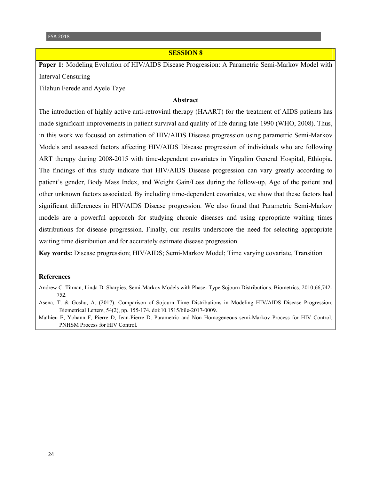#### **SESSION 8**

**Paper 1:** Modeling Evolution of HIV/AIDS Disease Progression: A Parametric Semi-Markov Model with Interval Censuring

Tilahun Ferede and Ayele Taye

#### **Abstract**

The introduction of highly active anti-retroviral therapy (HAART) for the treatment of AIDS patients has made significant improvements in patient survival and quality of life during late 1990 (WHO, 2008). Thus, in this work we focused on estimation of HIV/AIDS Disease progression using parametric Semi-Markov Models and assessed factors affecting HIV/AIDS Disease progression of individuals who are following ART therapy during 2008-2015 with time-dependent covariates in Yirgalim General Hospital, Ethiopia. The findings of this study indicate that HIV/AIDS Disease progression can vary greatly according to patient's gender, Body Mass Index, and Weight Gain/Loss during the follow-up, Age of the patient and other unknown factors associated. By including time-dependent covariates, we show that these factors had significant differences in HIV/AIDS Disease progression. We also found that Parametric Semi-Markov models are a powerful approach for studying chronic diseases and using appropriate waiting times distributions for disease progression. Finally, our results underscore the need for selecting appropriate waiting time distribution and for accurately estimate disease progression.

**Key words:** Disease progression; HIV/AIDS; Semi-Markov Model; Time varying covariate, Transition

#### **References**

Andrew C. Titman, Linda D. Sharpies. Semi-Markov Models with Phase- Type Sojourn Distributions. Biometrics. 2010;66,742- 752.

Asena, T. & Goshu, A. (2017). Comparison of Sojourn Time Distributions in Modeling HIV/AIDS Disease Progression. Biometrical Letters, 54(2), pp. 155-174. doi:10.1515/bile-2017-0009.

Mathieu E, Yohann F, Pierre D, Jean-Pierre D. Parametric and Non Homogeneous semi-Markov Process for HIV Control, PNHSM Process for HIV Control.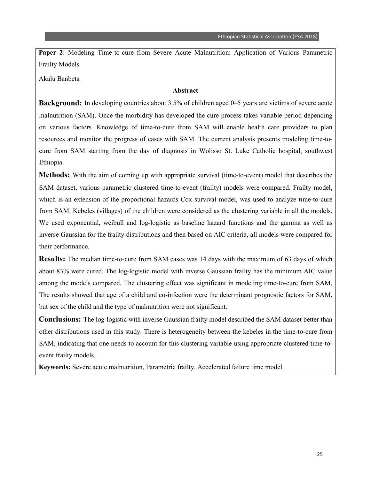**Paper 2**: Modeling Time-to-cure from Severe Acute Malnutrition: Application of Various Parametric Frailty Models

Akalu Banbeta

#### **Abstract**

**Background:** In developing countries about 3.5% of children aged 0–5 years are victims of severe acute malnutrition (SAM). Once the morbidity has developed the cure process takes variable period depending on various factors. Knowledge of time-to-cure from SAM will enable health care providers to plan resources and monitor the progress of cases with SAM. The current analysis presents modeling time-tocure from SAM starting from the day of diagnosis in Wolisso St. Luke Catholic hospital, southwest Ethiopia.

**Methods:** With the aim of coming up with appropriate survival (time-to-event) model that describes the SAM dataset, various parametric clustered time-to-event (frailty) models were compared. Frailty model, which is an extension of the proportional hazards Cox survival model, was used to analyze time-to-cure from SAM. Kebeles (villages) of the children were considered as the clustering variable in all the models. We used exponential, weibull and log-logistic as baseline hazard functions and the gamma as well as inverse Gaussian for the frailty distributions and then based on AIC criteria, all models were compared for their performance.

**Results:** The median time-to-cure from SAM cases was 14 days with the maximum of 63 days of which about 83% were cured. The log-logistic model with inverse Gaussian frailty has the minimum AIC value among the models compared. The clustering effect was significant in modeling time-to-cure from SAM. The results showed that age of a child and co-infection were the determinant prognostic factors for SAM, but sex of the child and the type of malnutrition were not significant.

**Conclusions:** The log-logistic with inverse Gaussian frailty model described the SAM dataset better than other distributions used in this study. There is heterogeneity between the kebeles in the time-to-cure from SAM, indicating that one needs to account for this clustering variable using appropriate clustered time-toevent frailty models.

**Keywords:** Severe acute malnutrition, Parametric frailty, Accelerated failure time model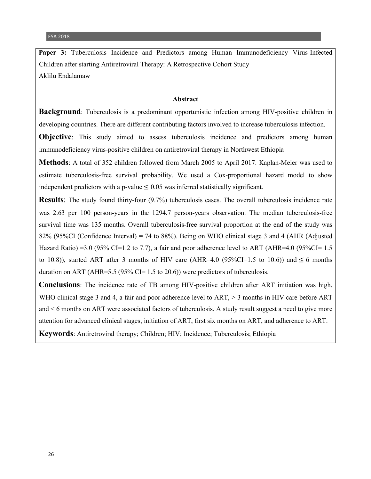Paper 3: Tuberculosis Incidence and Predictors among Human Immunodeficiency Virus-Infected Children after starting Antiretroviral Therapy: A Retrospective Cohort Study Aklilu Endalamaw

#### **Abstract**

**Background**: Tuberculosis is a predominant opportunistic infection among HIV-positive children in developing countries. There are different contributing factors involved to increase tuberculosis infection.

**Objective**: This study aimed to assess tuberculosis incidence and predictors among human immunodeficiency virus-positive children on antiretroviral therapy in Northwest Ethiopia

**Methods**: A total of 352 children followed from March 2005 to April 2017. Kaplan-Meier was used to estimate tuberculosis-free survival probability. We used a Cox-proportional hazard model to show independent predictors with a p-value  $\leq 0.05$  was inferred statistically significant.

**Results**: The study found thirty-four (9.7%) tuberculosis cases. The overall tuberculosis incidence rate was 2.63 per 100 person-years in the 1294.7 person-years observation. The median tuberculosis-free survival time was 135 months. Overall tuberculosis-free survival proportion at the end of the study was 82% (95%CI (Confidence Interval) = 74 to 88%). Being on WHO clinical stage 3 and 4 (AHR (Adjusted Hazard Ratio) =3.0 (95% CI=1.2 to 7.7), a fair and poor adherence level to ART (AHR=4.0 (95% CI=1.5 to 10.8)), started ART after 3 months of HIV care (AHR=4.0 (95%CI=1.5 to 10.6)) and  $\leq 6$  months duration on ART (AHR=5.5 (95% CI= 1.5 to 20.6)) were predictors of tuberculosis.

**Conclusions**: The incidence rate of TB among HIV-positive children after ART initiation was high. WHO clinical stage 3 and 4, a fair and poor adherence level to  $ART \geq 3$  months in HIV care before ART and < 6 months on ART were associated factors of tuberculosis. A study result suggest a need to give more attention for advanced clinical stages, initiation of ART, first six months on ART, and adherence to ART.

**Keywords**: Antiretroviral therapy; Children; HIV; Incidence; Tuberculosis; Ethiopia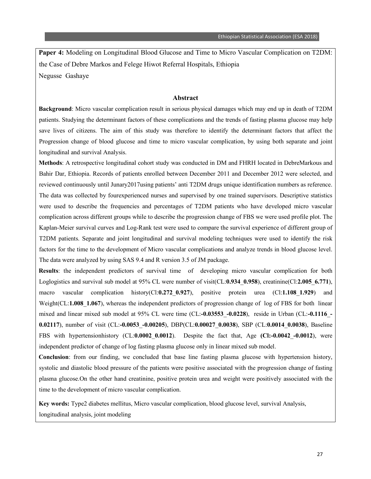**Paper 4:** Modeling on Longitudinal Blood Glucose and Time to Micro Vascular Complication on T2DM: the Case of Debre Markos and Felege Hiwot Referral Hospitals, Ethiopia Negusse Gashaye

#### **Abstract**

**Background**: Micro vascular complication result in serious physical damages which may end up in death of T2DM patients. Studying the determinant factors of these complications and the trends of fasting plasma glucose may help save lives of citizens. The aim of this study was therefore to identify the determinant factors that affect the Progression change of blood glucose and time to micro vascular complication, by using both separate and joint longitudinal and survival Analysis.

**Methods**: A retrospective longitudinal cohort study was conducted in DM and FHRH located in DebreMarkous and Bahir Dar, Ethiopia. Records of patients enrolled between December 2011 and December 2012 were selected, and reviewed continuously until Junary2017using patients' anti T2DM drugs unique identification numbers as reference. The data was collected by fourexperienced nurses and supervised by one trained supervisors. Descriptive statistics were used to describe the frequencies and percentages of T2DM patients who have developed micro vascular complication across different groups while to describe the progression change of FBS we were used profile plot. The Kaplan-Meier survival curves and Log-Rank test were used to compare the survival experience of different group of T2DM patients. Separate and joint longitudinal and survival modeling techniques were used to identify the risk factors for the time to the development of Micro vascular complications and analyze trends in blood glucose level. The data were analyzed by using SAS 9.4 and R version 3.5 of JM package.

**Results**: the independent predictors of survival time of developing micro vascular complication for both Loglogistics and survival sub model at 95% CL were number of visit(CL:**0.934**\_**0.958**), creatinine(Cl:**2.005**\_**6.771**), macro vascular complication history(Cl:**0.272**\_**0.927**), positive protein urea (Cl:**1.108**\_**1.929**) and Weight(CL:**1.008 1.067**), whereas the independent predictors of progression change of log of FBS for both linear mixed and linear mixed sub model at 95% CL were time (CL:**-0.03553**\_**-0.0228**), reside in Urban (CL:**-0.1116**\_**- 0.02117**), number of visit (CL:**-0.0053**\_**-0.00205**), DBP(CL:**0.00027**\_**0.0038**), SBP (CL:**0.0014**\_**0.0038**), Baseline FBS with hypertensionhistory (CL:**0.0002**\_**0.0012**). Despite the fact that, Age **(Cl:-0.0042**\_**-0.0012**), were independent predictor of change of log fasting plasma glucose only in linear mixed sub model.

**Conclusion**: from our finding, we concluded that base line fasting plasma glucose with hypertension history, systolic and diastolic blood pressure of the patients were positive associated with the progression change of fasting plasma glucose.On the other hand creatinine, positive protein urea and weight were positively associated with the time to the development of micro vascular complication.

**Key words:** Type2 diabetes mellitus, Micro vascular complication, blood glucose level, survival Analysis, longitudinal analysis, joint modeling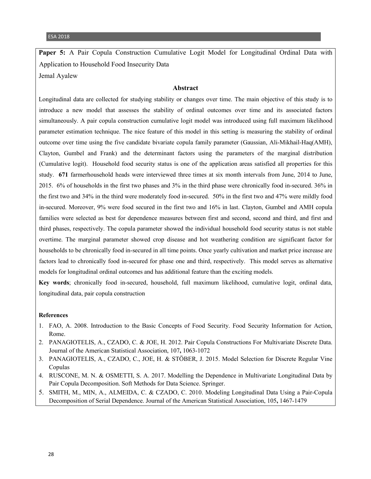**Paper 5:** A Pair Copula Construction Cumulative Logit Model for Longitudinal Ordinal Data with Application to Household Food Insecurity Data

Jemal Ayalew

#### **Abstract**

Longitudinal data are collected for studying stability or changes over time. The main objective of this study is to introduce a new model that assesses the stability of ordinal outcomes over time and its associated factors simultaneously. A pair copula construction cumulative logit model was introduced using full maximum likelihood parameter estimation technique. The nice feature of this model in this setting is measuring the stability of ordinal outcome over time using the five candidate bivariate copula family parameter (Gaussian, Ali-Mikhail-Haq(AMH), Clayton, Gumbel and Frank) and the determinant factors using the parameters of the marginal distribution (Cumulative logit). Household food security status is one of the application areas satisfied all properties for this study. **671** farmerhousehold heads were interviewed three times at six month intervals from June, 2014 to June, 2015. 6% of households in the first two phases and 3% in the third phase were chronically food in-secured. 36% in the first two and 34% in the third were moderately food in-secured. 50% in the first two and 47% were mildly food in-secured. Moreover, 9% were food secured in the first two and 16% in last. Clayton, Gumbel and AMH copula families were selected as best for dependence measures between first and second, second and third, and first and third phases, respectively. The copula parameter showed the individual household food security status is not stable overtime. The marginal parameter showed crop disease and hot weathering condition are significant factor for households to be chronically food in-secured in all time points. Once yearly cultivation and market price increase are factors lead to chronically food in-secured for phase one and third, respectively. This model serves as alternative models for longitudinal ordinal outcomes and has additional feature than the exciting models.

**Key words**; chronically food in-secured, household, full maximum likelihood, cumulative logit, ordinal data, longitudinal data, pair copula construction

#### **References**

- 1. FAO, A. 2008. Introduction to the Basic Concepts of Food Security. Food Security Information for Action, Rome.
- 2. PANAGIOTELIS, A., CZADO, C. & JOE, H. 2012. Pair Copula Constructions For Multivariate Discrete Data. Journal of the American Statistical Association, 107**,** 1063-1072
- 3. PANAGIOTELIS, A., CZADO, C., JOE, H. & STÖBER, J. 2015. Model Selection for Discrete Regular Vine Copulas
- 4. RUSCONE, M. N. & OSMETTI, S. A. 2017. Modelling the Dependence in Multivariate Longitudinal Data by Pair Copula Decomposition. Soft Methods for Data Science. Springer.
- 5. SMITH, M., MIN, A., ALMEIDA, C. & CZADO, C. 2010. Modeling Longitudinal Data Using a Pair-Copula Decomposition of Serial Dependence. Journal of the American Statistical Association, 105**,** 1467-1479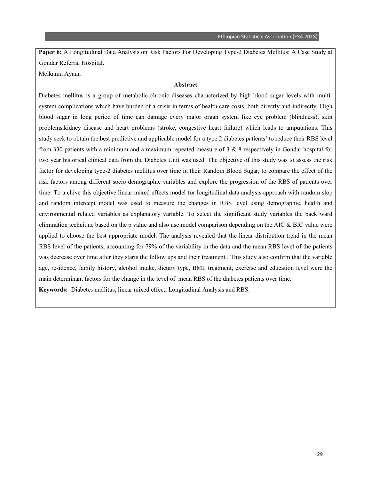**Paper 6:** A Longitudinal Data Analysis on Risk Factors For Developing Type-2 Diabetes Mellitus: A Case Study at Gondar Referral Hospital.

Melkamu Ayana

#### **Abstract**

Diabetes mellitus is a group of metabolic chronic diseases characterized by high blood sugar levels with multisystem complications which have burden of a crisis in terms of health care costs, both directly and indirectly. High blood sugar in long period of time can damage every major organ system like eye problem (blindness), skin problems,kidney disease and heart problems (stroke, congestive heart failure) which leads to amputations. This study seek to obtain the best predictive and applicable model for a type 2 diabetes patients' to reduce their RBS level from 330 patients with a minimum and a maximum repeated measure of 3 & 8 respectively in Gondar hospital for two year historical clinical data from the Diabetes Unit was used. The objective of this study was to assess the risk factor for developing type-2 diabetes mellitus over time in their Random Blood Sugar, to compare the effect of the risk factors among different socio demographic variables and explore the progression of the RBS of patients over time. To a chive this objective linear mixed effects model for longitudinal data analysis approach with random slop and random intercept model was used to measure the changes in RBS level using demographic, health and environmental related variables as explanatory variable. To select the significant study variables the back ward elimination technique based on the p value and also use model comparison depending on the AIC & BIC value were applied to choose the best appropriate model. The analysis revealed that the linear distribution trend in the mean RBS level of the patients, accounting for 79% of the variability in the data and the mean RBS level of the patients was decrease over time after they starts the follow ups and their treatment . This study also confirm that the variable age, residence, family history, alcohol intake, dietary type, BMI, treatment, exercise and education level were the main determinant factors for the change in the level of mean RBS of the diabetes patients over time. **Keywords:** Diabetes mellitus, linear mixed effect, Longitudinal Analysis and RBS.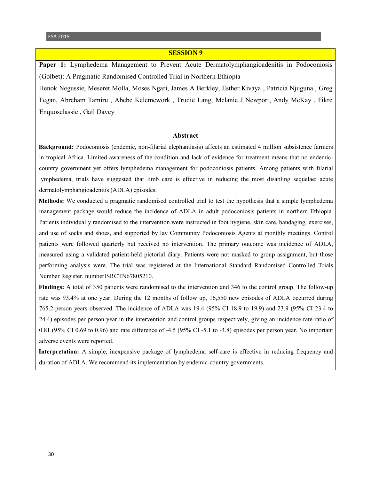#### **SESSION 9**

Paper 1: Lymphedema Management to Prevent Acute Dermatolymphangioadenitis in Podoconiosis (Golbet): A Pragmatic Randomised Controlled Trial in Northern Ethiopia

Henok Negussie, Meseret Molla, Moses Ngari, James A Berkley, Esther Kivaya , Patricia Njuguna , Greg Fegan, Abreham Tamiru , Abebe Kelemework , Trudie Lang, Melanie J Newport, Andy McKay , Fikre Enquoselassie , Gail Davey

#### **Abstract**

**Background:** Podoconiosis (endemic, non-filarial elephantiasis) affects an estimated 4 million subsistence farmers in tropical Africa. Limited awareness of the condition and lack of evidence for treatment means that no endemiccountry government yet offers lymphedema management for podoconiosis patients. Among patients with filarial lymphedema, trials have suggested that limb care is effective in reducing the most disabling sequelae: acute dermatolymphangioadenitis (ADLA) episodes.

**Methods:** We conducted a pragmatic randomised controlled trial to test the hypothesis that a simple lymphedema management package would reduce the incidence of ADLA in adult podoconiosis patients in northern Ethiopia. Patients individually randomised to the intervention were instructed in foot hygiene, skin care, bandaging, exercises, and use of socks and shoes, and supported by lay Community Podoconiosis Agents at monthly meetings. Control patients were followed quarterly but received no intervention. The primary outcome was incidence of ADLA, measured using a validated patient-held pictorial diary. Patients were not masked to group assignment, but those performing analysis were. The trial was registered at the International Standard Randomised Controlled Trials Number Register, numberISRCTN67805210.

**Findings:** A total of 350 patients were randomised to the intervention and 346 to the control group. The follow-up rate was 93.4% at one year. During the 12 months of follow up, 16,550 new episodes of ADLA occurred during 765.2-person years observed. The incidence of ADLA was 19.4 (95% CI 18.9 to 19.9) and 23.9 (95% CI 23.4 to 24.4) episodes per person year in the intervention and control groups respectively, giving an incidence rate ratio of 0.81 (95% CI 0.69 to 0.96) and rate difference of -4.5 (95% CI -5.1 to -3.8) episodes per person year. No important adverse events were reported.

**Interpretation:** A simple, inexpensive package of lymphedema self-care is effective in reducing frequency and duration of ADLA. We recommend its implementation by endemic-country governments.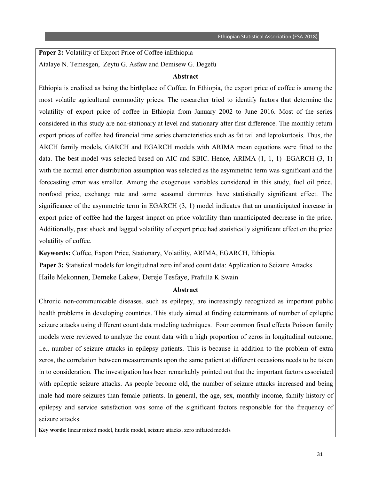Paper 2: Volatility of Export Price of Coffee inEthiopia Atalaye N. Temesgen, Zeytu G. Asfaw and Demisew G. Degefu

#### **Abstract**

Ethiopia is credited as being the birthplace of Coffee. In Ethiopia, the export price of coffee is among the most volatile agricultural commodity prices. The researcher tried to identify factors that determine the volatility of export price of coffee in Ethiopia from January 2002 to June 2016. Most of the series considered in this study are non-stationary at level and stationary after first difference. The monthly return export prices of coffee had financial time series characteristics such as fat tail and leptokurtosis. Thus, the ARCH family models, GARCH and EGARCH models with ARIMA mean equations were fitted to the data. The best model was selected based on AIC and SBIC. Hence, ARIMA (1, 1, 1) -EGARCH (3, 1) with the normal error distribution assumption was selected as the asymmetric term was significant and the forecasting error was smaller. Among the exogenous variables considered in this study, fuel oil price, nonfood price, exchange rate and some seasonal dummies have statistically significant effect. The significance of the asymmetric term in EGARCH (3, 1) model indicates that an unanticipated increase in export price of coffee had the largest impact on price volatility than unanticipated decrease in the price. Additionally, past shock and lagged volatility of export price had statistically significant effect on the price volatility of coffee.

**Keywords:** Coffee, Export Price, Stationary, Volatility, ARIMA, EGARCH, Ethiopia.

**Paper 3:** Statistical models for longitudinal zero inflated count data: Application to Seizure Attacks Haile Mekonnen, Demeke Lakew, Dereje Tesfaye, Prafulla K Swain

#### **Abstract**

Chronic non-communicable diseases, such as epilepsy, are increasingly recognized as important public health problems in developing countries. This study aimed at finding determinants of number of epileptic seizure attacks using different count data modeling techniques. Four common fixed effects Poisson family models were reviewed to analyze the count data with a high proportion of zeros in longitudinal outcome, i.e., number of seizure attacks in epilepsy patients. This is because in addition to the problem of extra zeros, the correlation between measurements upon the same patient at different occasions needs to be taken in to consideration. The investigation has been remarkably pointed out that the important factors associated with epileptic seizure attacks. As people become old, the number of seizure attacks increased and being male had more seizures than female patients. In general, the age, sex, monthly income, family history of epilepsy and service satisfaction was some of the significant factors responsible for the frequency of seizure attacks.

**Key words**: linear mixed model, hurdle model, seizure attacks, zero inflated models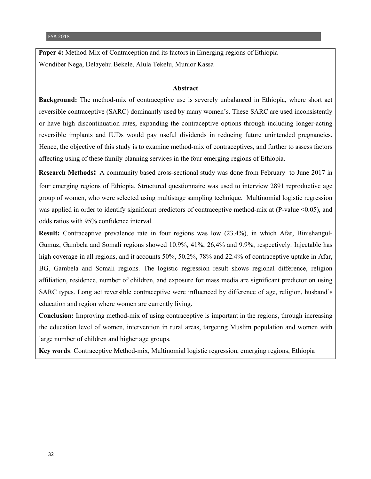**Paper 4:** Method-Mix of Contraception and its factors in Emerging regions of Ethiopia Wondiber Nega, Delayehu Bekele, Alula Tekelu, Munior Kassa

#### **Abstract**

**Background:** The method-mix of contraceptive use is severely unbalanced in Ethiopia, where short act reversible contraceptive (SARC) dominantly used by many women's. These SARC are used inconsistently or have high discontinuation rates, expanding the contraceptive options through including longer-acting reversible implants and IUDs would pay useful dividends in reducing future unintended pregnancies. Hence, the objective of this study is to examine method-mix of contraceptives, and further to assess factors affecting using of these family planning services in the four emerging regions of Ethiopia.

**Research Methods:** A community based cross-sectional study was done from February to June 2017 in four emerging regions of Ethiopia. Structured questionnaire was used to interview 2891 reproductive age group of women, who were selected using multistage sampling technique. Multinomial logistic regression was applied in order to identify significant predictors of contraceptive method-mix at (P-value <0.05), and odds ratios with 95% confidence interval.

**Result:** Contraceptive prevalence rate in four regions was low (23.4%), in which Afar, Binishangul-Gumuz, Gambela and Somali regions showed 10.9%, 41%, 26,4% and 9.9%, respectively. Injectable has high coverage in all regions, and it accounts 50%, 50.2%, 78% and 22.4% of contraceptive uptake in Afar, BG, Gambela and Somali regions. The logistic regression result shows regional difference, religion affiliation, residence, number of children, and exposure for mass media are significant predictor on using SARC types. Long act reversible contraceptive were influenced by difference of age, religion, husband's education and region where women are currently living.

**Conclusion:** Improving method-mix of using contraceptive is important in the regions, through increasing the education level of women, intervention in rural areas, targeting Muslim population and women with large number of children and higher age groups.

**Key words**: Contraceptive Method-mix, Multinomial logistic regression, emerging regions, Ethiopia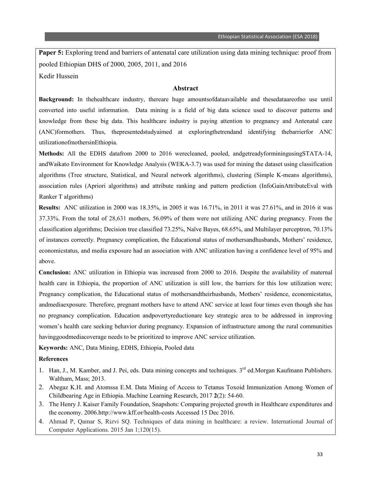**Paper 5:** Exploring trend and barriers of antenatal care utilization using data mining technique: proof from pooled Ethiopian DHS of 2000, 2005, 2011, and 2016 Kedir Hussein

#### **Abstract**

**Background:** In thehealthcare industry, thereare huge amountsofdataavailable and thesedataareofno use until converted into useful information. Data mining is a field of big data science used to discover patterns and knowledge from these big data. This healthcare industry is paying attention to pregnancy and Antenatal care (ANC)formothers. Thus, thepresentedstudyaimed at exploringthetrendand identifying thebarrierfor ANC utilizationofmothersinEthiopia.

**Methods:** All the EDHS datafrom 2000 to 2016 werecleaned, pooled, andgetreadyforminingusingSTATA-14, andWaikato Environment for Knowledge Analysis (WEKA-3.7) was used for mining the dataset using classification algorithms (Tree structure, Statistical, and Neural network algorithms), clustering (Simple K-means algorithms), association rules (Apriori algorithms) and attribute ranking and pattern prediction (InfoGainAttributeEval with Ranker T algorithms)

**Results:** ANC utilization in 2000 was 18.35%, in 2005 it was 16.71%, in 2011 it was 27.61%, and in 2016 it was 37.33%. From the total of 28,631 mothers, 56.09% of them were not utilizing ANC during pregnancy. From the classification algorithms; Decision tree classified 73.25%, Naïve Bayes, 68.65%, and Multilayer perceptron, 70.13% of instances correctly. Pregnancy complication, the Educational status of mothersandhusbands, Mothers' residence, economicstatus, and media exposure had an association with ANC utilization having a confidence level of 95% and above.

**Conclusion:** ANC utilization in Ethiopia was increased from 2000 to 2016. Despite the availability of maternal health care in Ethiopia, the proportion of ANC utilization is still low, the barriers for this low utilization were; Pregnancy complication, the Educational status of mothersandtheirhusbands, Mothers' residence, economicstatus, andmediaexposure. Therefore, pregnant mothers have to attend ANC service at least four times even though she has no pregnancy complication. Education andpovertyreductionare key strategic area to be addressed in improving women's health care seeking behavior during pregnancy. Expansion of infrastructure among the rural communities havinggoodmediacoverage needs to be prioritized to improve ANC service utilization.

**Keywords:** ANC, Data Mining, EDHS, Ethiopia, Pooled data

#### **References**

- 1. Han, J., M. Kamber, and J. Pei, eds. Data mining concepts and techniques. 3<sup>rd</sup> ed.Morgan Kaufmann Publishers. Waltham, Mass; 2013.
- 2. Abegaz K.H. and Atomssa E.M. Data Mining of Access to Tetanus Toxoid Immunization Among Women of Childbearing Age in Ethiopia. Machine Learning Research, 2017 **2**(2): 54-60.
- 3. The Henry J. Kaiser Family Foundation, Snapshots: Comparing projected growth in Healthcare expenditures and the economy. 2006.http://www.kff.or/health-costs Accessed 15 Dec 2016.
- 4. Ahmad P, Qamar S, Rizvi SQ. Techniques of data mining in healthcare: a review. International Journal of Computer Applications. 2015 Jan 1;120(15).